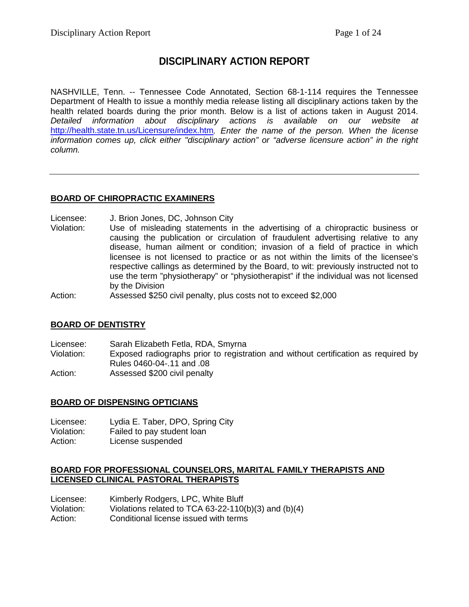# **DISCIPLINARY ACTION REPORT**

NASHVILLE, Tenn. -- Tennessee Code Annotated, Section 68-1-114 requires the Tennessee Department of Health to issue a monthly media release listing all disciplinary actions taken by the health related boards during the prior month. Below is a list of actions taken in August 2014. *Detailed information about disciplinary actions is available on our website at*  <http://health.state.tn.us/Licensure/index.htm>*. Enter the name of the person. When the license information comes up, click either "disciplinary action" or "adverse licensure action" in the right column.*

## **BOARD OF CHIROPRACTIC EXAMINERS**

Licensee: J. Brion Jones, DC, Johnson City<br>Violation: Use of misleading statements in

Use of misleading statements in the advertising of a chiropractic business or causing the publication or circulation of fraudulent advertising relative to any disease, human ailment or condition; invasion of a field of practice in which licensee is not licensed to practice or as not within the limits of the licensee's respective callings as determined by the Board, to wit: previously instructed not to use the term "physiotherapy" or "physiotherapist" if the individual was not licensed by the Division

Action: Assessed \$250 civil penalty, plus costs not to exceed \$2,000

#### **BOARD OF DENTISTRY**

Licensee: Sarah Elizabeth Fetla, RDA, Smyrna<br>Violation: Exposed radiographs prior to registr Exposed radiographs prior to registration and without certification as required by Rules 0460-04-.11 and .08 Action: Assessed \$200 civil penalty

#### **BOARD OF DISPENSING OPTICIANS**

Licensee: Lydia E. Taber, DPO, Spring City Violation: Failed to pay student loan Action: License suspended

#### **BOARD FOR PROFESSIONAL COUNSELORS, MARITAL FAMILY THERAPISTS AND LICENSED CLINICAL PASTORAL THERAPISTS**

Licensee: Kimberly Rodgers, LPC, White Bluff Violation: Violations related to TCA 63-22-110(b)(3) and (b)(4) Action: Conditional license issued with terms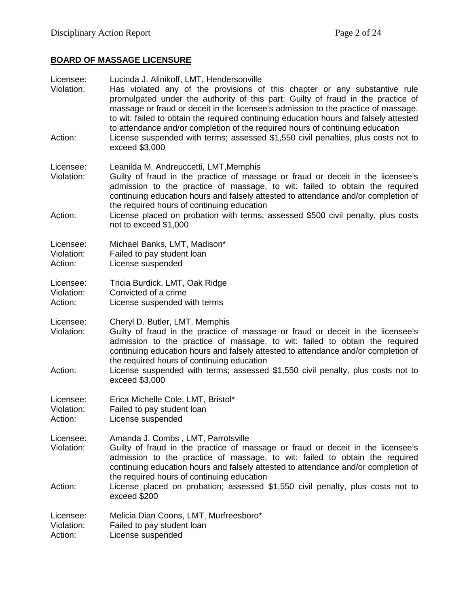# **BOARD OF MASSAGE LICENSURE**

| Licensee:<br>Violation:<br>Action: | Lucinda J. Alinikoff, LMT, Hendersonville<br>Has violated any of the provisions of this chapter or any substantive rule<br>promulgated under the authority of this part: Guilty of fraud in the practice of<br>massage or fraud or deceit in the licensee's admission to the practice of massage,<br>to wit: failed to obtain the required continuing education hours and falsely attested<br>to attendance and/or completion of the required hours of continuing education<br>License suspended with terms; assessed \$1,550 civil penalties, plus costs not to<br>exceed \$3,000 |
|------------------------------------|------------------------------------------------------------------------------------------------------------------------------------------------------------------------------------------------------------------------------------------------------------------------------------------------------------------------------------------------------------------------------------------------------------------------------------------------------------------------------------------------------------------------------------------------------------------------------------|
| Licensee:<br>Violation:            | Leanilda M. Andreuccetti, LMT, Memphis<br>Guilty of fraud in the practice of massage or fraud or deceit in the licensee's<br>admission to the practice of massage, to wit: failed to obtain the required<br>continuing education hours and falsely attested to attendance and/or completion of                                                                                                                                                                                                                                                                                     |
| Action:                            | the required hours of continuing education<br>License placed on probation with terms; assessed \$500 civil penalty, plus costs<br>not to exceed \$1,000                                                                                                                                                                                                                                                                                                                                                                                                                            |
| Licensee:<br>Violation:<br>Action: | Michael Banks, LMT, Madison*<br>Failed to pay student loan<br>License suspended                                                                                                                                                                                                                                                                                                                                                                                                                                                                                                    |
| Licensee:<br>Violation:<br>Action: | Tricia Burdick, LMT, Oak Ridge<br>Convicted of a crime<br>License suspended with terms                                                                                                                                                                                                                                                                                                                                                                                                                                                                                             |
| Licensee:<br>Violation:            | Cheryl D. Butler, LMT, Memphis<br>Guilty of fraud in the practice of massage or fraud or deceit in the licensee's<br>admission to the practice of massage, to wit: failed to obtain the required<br>continuing education hours and falsely attested to attendance and/or completion of<br>the required hours of continuing education                                                                                                                                                                                                                                               |
| Action:                            | License suspended with terms; assessed \$1,550 civil penalty, plus costs not to<br>exceed \$3,000                                                                                                                                                                                                                                                                                                                                                                                                                                                                                  |
| Licensee:<br>Violation:<br>Action: | Erica Michelle Cole, LMT, Bristol*<br>Failed to pay student loan<br>License suspended                                                                                                                                                                                                                                                                                                                                                                                                                                                                                              |
| Licensee:<br>Violation:            | Amanda J. Combs, LMT, Parrotsville<br>Guilty of fraud in the practice of massage or fraud or deceit in the licensee's<br>admission to the practice of massage, to wit: failed to obtain the required<br>continuing education hours and falsely attested to attendance and/or completion of<br>the required hours of continuing education                                                                                                                                                                                                                                           |
| Action:                            | License placed on probation; assessed \$1,550 civil penalty, plus costs not to<br>exceed \$200                                                                                                                                                                                                                                                                                                                                                                                                                                                                                     |
| Licensee:<br>Violation:<br>Action: | Melicia Dian Coons, LMT, Murfreesboro*<br>Failed to pay student loan<br>License suspended                                                                                                                                                                                                                                                                                                                                                                                                                                                                                          |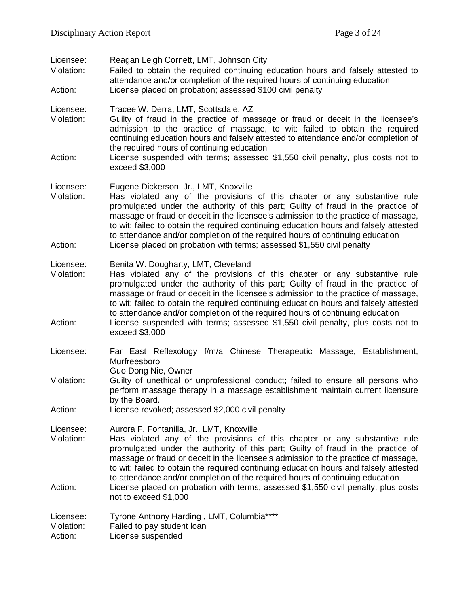| Licensee:<br>Violation:            | Reagan Leigh Cornett, LMT, Johnson City<br>Failed to obtain the required continuing education hours and falsely attested to<br>attendance and/or completion of the required hours of continuing education                                                                                                                                                                                                                                                               |
|------------------------------------|-------------------------------------------------------------------------------------------------------------------------------------------------------------------------------------------------------------------------------------------------------------------------------------------------------------------------------------------------------------------------------------------------------------------------------------------------------------------------|
| Action:                            | License placed on probation; assessed \$100 civil penalty                                                                                                                                                                                                                                                                                                                                                                                                               |
| Licensee:<br>Violation:            | Tracee W. Derra, LMT, Scottsdale, AZ<br>Guilty of fraud in the practice of massage or fraud or deceit in the licensee's<br>admission to the practice of massage, to wit: failed to obtain the required<br>continuing education hours and falsely attested to attendance and/or completion of<br>the required hours of continuing education                                                                                                                              |
| Action:                            | License suspended with terms; assessed \$1,550 civil penalty, plus costs not to<br>exceed \$3,000                                                                                                                                                                                                                                                                                                                                                                       |
| Licensee:<br>Violation:            | Eugene Dickerson, Jr., LMT, Knoxville<br>Has violated any of the provisions of this chapter or any substantive rule<br>promulgated under the authority of this part; Guilty of fraud in the practice of<br>massage or fraud or deceit in the licensee's admission to the practice of massage,<br>to wit: failed to obtain the required continuing education hours and falsely attested<br>to attendance and/or completion of the required hours of continuing education |
| Action:                            | License placed on probation with terms; assessed \$1,550 civil penalty                                                                                                                                                                                                                                                                                                                                                                                                  |
| Licensee:<br>Violation:            | Benita W. Dougharty, LMT, Cleveland<br>Has violated any of the provisions of this chapter or any substantive rule<br>promulgated under the authority of this part; Guilty of fraud in the practice of<br>massage or fraud or deceit in the licensee's admission to the practice of massage,<br>to wit: failed to obtain the required continuing education hours and falsely attested                                                                                    |
| Action:                            | to attendance and/or completion of the required hours of continuing education<br>License suspended with terms; assessed \$1,550 civil penalty, plus costs not to<br>exceed \$3,000                                                                                                                                                                                                                                                                                      |
| Licensee:                          | Far East Reflexology f/m/a Chinese Therapeutic Massage, Establishment,<br>Murfreesboro<br>Guo Dong Nie, Owner                                                                                                                                                                                                                                                                                                                                                           |
| Violation:                         | Guilty of unethical or unprofessional conduct; failed to ensure all persons who<br>perform massage therapy in a massage establishment maintain current licensure<br>by the Board.                                                                                                                                                                                                                                                                                       |
| Action:                            | License revoked; assessed \$2,000 civil penalty                                                                                                                                                                                                                                                                                                                                                                                                                         |
| Licensee:<br>Violation:            | Aurora F. Fontanilla, Jr., LMT, Knoxville<br>Has violated any of the provisions of this chapter or any substantive rule<br>promulgated under the authority of this part; Guilty of fraud in the practice of<br>massage or fraud or deceit in the licensee's admission to the practice of massage,<br>to wit: failed to obtain the required continuing education hours and falsely attested                                                                              |
| Action:                            | to attendance and/or completion of the required hours of continuing education<br>License placed on probation with terms; assessed \$1,550 civil penalty, plus costs<br>not to exceed \$1,000                                                                                                                                                                                                                                                                            |
| Licensee:<br>Violation:<br>Action: | Tyrone Anthony Harding, LMT, Columbia****<br>Failed to pay student loan<br>License suspended                                                                                                                                                                                                                                                                                                                                                                            |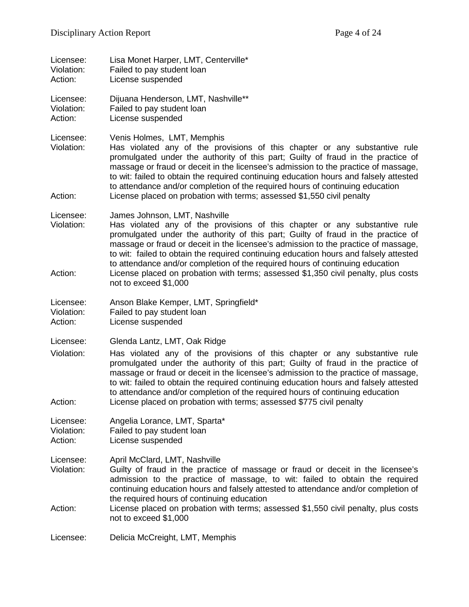| Licensee:<br>Violation:<br>Action: | Lisa Monet Harper, LMT, Centerville*<br>Failed to pay student loan<br>License suspended                                                                                                                                                                                                                                                                                                                                                                                                                                                               |
|------------------------------------|-------------------------------------------------------------------------------------------------------------------------------------------------------------------------------------------------------------------------------------------------------------------------------------------------------------------------------------------------------------------------------------------------------------------------------------------------------------------------------------------------------------------------------------------------------|
| Licensee:<br>Violation:<br>Action: | Dijuana Henderson, LMT, Nashville**<br>Failed to pay student loan<br>License suspended                                                                                                                                                                                                                                                                                                                                                                                                                                                                |
| Licensee:<br>Violation:<br>Action: | Venis Holmes, LMT, Memphis<br>Has violated any of the provisions of this chapter or any substantive rule<br>promulgated under the authority of this part; Guilty of fraud in the practice of<br>massage or fraud or deceit in the licensee's admission to the practice of massage,<br>to wit: failed to obtain the required continuing education hours and falsely attested<br>to attendance and/or completion of the required hours of continuing education<br>License placed on probation with terms; assessed \$1,550 civil penalty                |
| Licensee:<br>Violation:<br>Action: | James Johnson, LMT, Nashville<br>Has violated any of the provisions of this chapter or any substantive rule<br>promulgated under the authority of this part; Guilty of fraud in the practice of<br>massage or fraud or deceit in the licensee's admission to the practice of massage,<br>to wit: failed to obtain the required continuing education hours and falsely attested<br>to attendance and/or completion of the required hours of continuing education<br>License placed on probation with terms; assessed \$1,350 civil penalty, plus costs |
|                                    | not to exceed \$1,000                                                                                                                                                                                                                                                                                                                                                                                                                                                                                                                                 |
| Licensee:<br>Violation:<br>Action: | Anson Blake Kemper, LMT, Springfield*<br>Failed to pay student loan<br>License suspended                                                                                                                                                                                                                                                                                                                                                                                                                                                              |
| Licensee:<br>Violation:<br>Action: | Glenda Lantz, LMT, Oak Ridge<br>Has violated any of the provisions of this chapter or any substantive rule<br>promulgated under the authority of this part; Guilty of fraud in the practice of<br>massage or fraud or deceit in the licensee's admission to the practice of massage,<br>to wit: failed to obtain the required continuing education hours and falsely attested<br>to attendance and/or completion of the required hours of continuing education<br>License placed on probation with terms; assessed \$775 civil penalty                |
| Licensee:<br>Violation:<br>Action: | Angelia Lorance, LMT, Sparta*<br>Failed to pay student loan<br>License suspended                                                                                                                                                                                                                                                                                                                                                                                                                                                                      |
| Licensee:<br>Violation:            | April McClard, LMT, Nashville<br>Guilty of fraud in the practice of massage or fraud or deceit in the licensee's<br>admission to the practice of massage, to wit: failed to obtain the required<br>continuing education hours and falsely attested to attendance and/or completion of<br>the required hours of continuing education                                                                                                                                                                                                                   |
| Action:                            | License placed on probation with terms; assessed \$1,550 civil penalty, plus costs<br>not to exceed \$1,000                                                                                                                                                                                                                                                                                                                                                                                                                                           |
| Licensee:                          | Delicia McCreight, LMT, Memphis                                                                                                                                                                                                                                                                                                                                                                                                                                                                                                                       |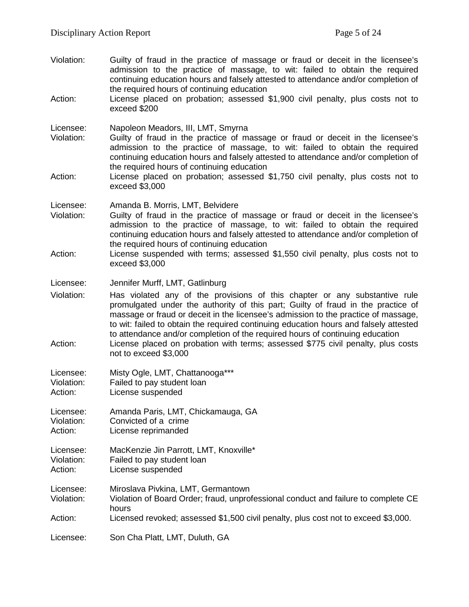Violation: Guilty of fraud in the practice of massage or fraud or deceit in the licensee's admission to the practice of massage, to wit: failed to obtain the required continuing education hours and falsely attested to attendance and/or completion of the required hours of continuing education Action: License placed on probation; assessed \$1,900 civil penalty, plus costs not to exceed \$200 Licensee: Napoleon Meadors, III, LMT, Smyrna<br>Violation: Guilty of fraud in the practice of ma Guilty of fraud in the practice of massage or fraud or deceit in the licensee's admission to the practice of massage, to wit: failed to obtain the required continuing education hours and falsely attested to attendance and/or completion of the required hours of continuing education Action: License placed on probation; assessed \$1,750 civil penalty, plus costs not to exceed \$3,000 Licensee: Amanda B. Morris, LMT, Belvidere Violation: Guilty of fraud in the practice of massage or fraud or deceit in the licensee's admission to the practice of massage, to wit: failed to obtain the required continuing education hours and falsely attested to attendance and/or completion of the required hours of continuing education Action: License suspended with terms; assessed \$1,550 civil penalty, plus costs not to exceed \$3,000 Licensee: Jennifer Murff, LMT, Gatlinburg Violation: Has violated any of the provisions of this chapter or any substantive rule promulgated under the authority of this part; Guilty of fraud in the practice of massage or fraud or deceit in the licensee's admission to the practice of massage, to wit: failed to obtain the required continuing education hours and falsely attested to attendance and/or completion of the required hours of continuing education Action: License placed on probation with terms; assessed \$775 civil penalty, plus costs not to exceed \$3,000 Licensee: Misty Ogle, LMT, Chattanooga\*\*\*<br>Violation: Failed to pay student loan Violation: Failed to pay student loan<br>Action: License suspended License suspended Licensee: Amanda Paris, LMT, Chickamauga, GA Violation: Convicted of a crime Action: License reprimanded Licensee: MacKenzie Jin Parrott, LMT, Knoxville\* Violation: Failed to pay student loan Action: License suspended Licensee: Miroslava Pivkina, LMT, Germantown Violation: Violation of Board Order; fraud, unprofessional conduct and failure to complete CE hours Action: Licensed revoked; assessed \$1,500 civil penalty, plus cost not to exceed \$3,000. Licensee: Son Cha Platt, LMT, Duluth, GA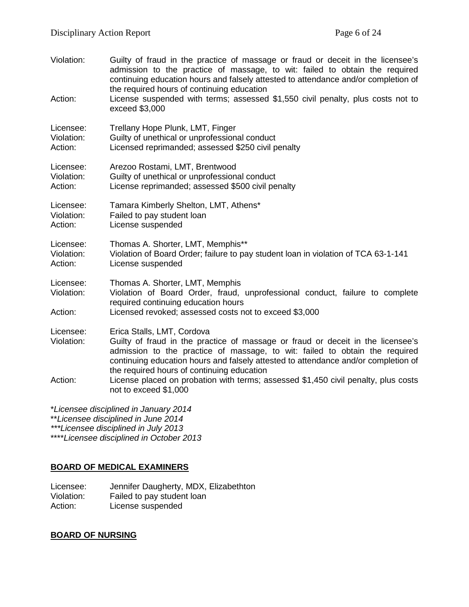| Violation:                                                                   | Guilty of fraud in the practice of massage or fraud or deceit in the licensee's<br>admission to the practice of massage, to wit: failed to obtain the required<br>continuing education hours and falsely attested to attendance and/or completion of<br>the required hours of continuing education                               |
|------------------------------------------------------------------------------|----------------------------------------------------------------------------------------------------------------------------------------------------------------------------------------------------------------------------------------------------------------------------------------------------------------------------------|
| Action:                                                                      | License suspended with terms; assessed \$1,550 civil penalty, plus costs not to<br>exceed \$3,000                                                                                                                                                                                                                                |
| Licensee:<br>Violation:<br>Action:                                           | Trellany Hope Plunk, LMT, Finger<br>Guilty of unethical or unprofessional conduct<br>Licensed reprimanded; assessed \$250 civil penalty                                                                                                                                                                                          |
| Licensee:<br>Violation:<br>Action:                                           | Arezoo Rostami, LMT, Brentwood<br>Guilty of unethical or unprofessional conduct<br>License reprimanded; assessed \$500 civil penalty                                                                                                                                                                                             |
| Licensee:<br>Violation:<br>Action:                                           | Tamara Kimberly Shelton, LMT, Athens*<br>Failed to pay student loan<br>License suspended                                                                                                                                                                                                                                         |
| Licensee:<br>Violation:<br>Action:                                           | Thomas A. Shorter, LMT, Memphis**<br>Violation of Board Order; failure to pay student loan in violation of TCA 63-1-141<br>License suspended                                                                                                                                                                                     |
| Licensee:<br>Violation:                                                      | Thomas A. Shorter, LMT, Memphis<br>Violation of Board Order, fraud, unprofessional conduct, failure to complete<br>required continuing education hours                                                                                                                                                                           |
| Action:                                                                      | Licensed revoked; assessed costs not to exceed \$3,000                                                                                                                                                                                                                                                                           |
| Licensee:<br>Violation:                                                      | Erica Stalls, LMT, Cordova<br>Guilty of fraud in the practice of massage or fraud or deceit in the licensee's<br>admission to the practice of massage, to wit: failed to obtain the required<br>continuing education hours and falsely attested to attendance and/or completion of<br>the required hours of continuing education |
| Action:                                                                      | License placed on probation with terms; assessed \$1,450 civil penalty, plus costs<br>not to exceed \$1,000                                                                                                                                                                                                                      |
| *Licensee disciplined in January 2014<br>**Licensee disciplined in June 2014 |                                                                                                                                                                                                                                                                                                                                  |

*\*\*\*Licensee disciplined in July 2013*

\*\*\*\**Licensee disciplined in October 2013*

# **BOARD OF MEDICAL EXAMINERS**

Licensee: Jennifer Daugherty, MDX, Elizabethton Violation: Failed to pay student loan Action: License suspended

# **BOARD OF NURSING**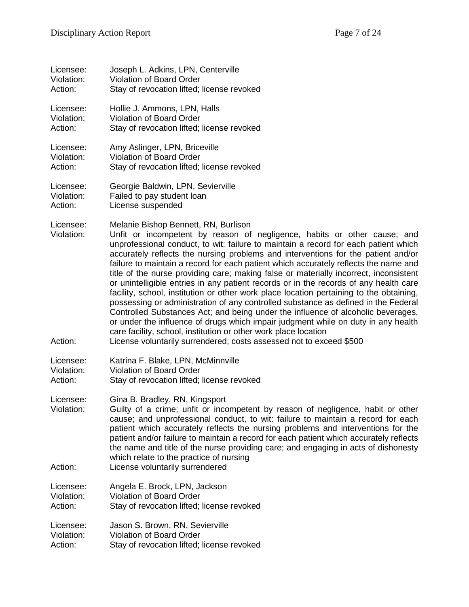| Licensee:                          | Joseph L. Adkins, LPN, Centerville                                                                                                                                                                                                                                                                                                                                                                                                                                                                                                                                                                                                                                                                                                                                                                                                                                                                                                                                                                                                                                         |
|------------------------------------|----------------------------------------------------------------------------------------------------------------------------------------------------------------------------------------------------------------------------------------------------------------------------------------------------------------------------------------------------------------------------------------------------------------------------------------------------------------------------------------------------------------------------------------------------------------------------------------------------------------------------------------------------------------------------------------------------------------------------------------------------------------------------------------------------------------------------------------------------------------------------------------------------------------------------------------------------------------------------------------------------------------------------------------------------------------------------|
| Violation:                         | Violation of Board Order                                                                                                                                                                                                                                                                                                                                                                                                                                                                                                                                                                                                                                                                                                                                                                                                                                                                                                                                                                                                                                                   |
| Action:                            | Stay of revocation lifted; license revoked                                                                                                                                                                                                                                                                                                                                                                                                                                                                                                                                                                                                                                                                                                                                                                                                                                                                                                                                                                                                                                 |
| Licensee:                          | Hollie J. Ammons, LPN, Halls                                                                                                                                                                                                                                                                                                                                                                                                                                                                                                                                                                                                                                                                                                                                                                                                                                                                                                                                                                                                                                               |
| Violation:                         | Violation of Board Order                                                                                                                                                                                                                                                                                                                                                                                                                                                                                                                                                                                                                                                                                                                                                                                                                                                                                                                                                                                                                                                   |
| Action:                            | Stay of revocation lifted; license revoked                                                                                                                                                                                                                                                                                                                                                                                                                                                                                                                                                                                                                                                                                                                                                                                                                                                                                                                                                                                                                                 |
| Licensee:                          | Amy Aslinger, LPN, Briceville                                                                                                                                                                                                                                                                                                                                                                                                                                                                                                                                                                                                                                                                                                                                                                                                                                                                                                                                                                                                                                              |
| Violation:                         | Violation of Board Order                                                                                                                                                                                                                                                                                                                                                                                                                                                                                                                                                                                                                                                                                                                                                                                                                                                                                                                                                                                                                                                   |
| Action:                            | Stay of revocation lifted; license revoked                                                                                                                                                                                                                                                                                                                                                                                                                                                                                                                                                                                                                                                                                                                                                                                                                                                                                                                                                                                                                                 |
| Licensee:                          | Georgie Baldwin, LPN, Sevierville                                                                                                                                                                                                                                                                                                                                                                                                                                                                                                                                                                                                                                                                                                                                                                                                                                                                                                                                                                                                                                          |
| Violation:                         | Failed to pay student loan                                                                                                                                                                                                                                                                                                                                                                                                                                                                                                                                                                                                                                                                                                                                                                                                                                                                                                                                                                                                                                                 |
| Action:                            | License suspended                                                                                                                                                                                                                                                                                                                                                                                                                                                                                                                                                                                                                                                                                                                                                                                                                                                                                                                                                                                                                                                          |
| Licensee:<br>Violation:<br>Action: | Melanie Bishop Bennett, RN, Burlison<br>Unfit or incompetent by reason of negligence, habits or other cause; and<br>unprofessional conduct, to wit: failure to maintain a record for each patient which<br>accurately reflects the nursing problems and interventions for the patient and/or<br>failure to maintain a record for each patient which accurately reflects the name and<br>title of the nurse providing care; making false or materially incorrect, inconsistent<br>or unintelligible entries in any patient records or in the records of any health care<br>facility, school, institution or other work place location pertaining to the obtaining,<br>possessing or administration of any controlled substance as defined in the Federal<br>Controlled Substances Act; and being under the influence of alcoholic beverages,<br>or under the influence of drugs which impair judgment while on duty in any health<br>care facility, school, institution or other work place location<br>License voluntarily surrendered; costs assessed not to exceed \$500 |
| Licensee:                          | Katrina F. Blake, LPN, McMinnville                                                                                                                                                                                                                                                                                                                                                                                                                                                                                                                                                                                                                                                                                                                                                                                                                                                                                                                                                                                                                                         |
| Violation:                         | <b>Violation of Board Order</b>                                                                                                                                                                                                                                                                                                                                                                                                                                                                                                                                                                                                                                                                                                                                                                                                                                                                                                                                                                                                                                            |
| Action:                            | Stay of revocation lifted; license revoked                                                                                                                                                                                                                                                                                                                                                                                                                                                                                                                                                                                                                                                                                                                                                                                                                                                                                                                                                                                                                                 |
| Licensee:<br>Violation:<br>Action: | Gina B. Bradley, RN, Kingsport<br>Guilty of a crime; unfit or incompetent by reason of negligence, habit or other<br>cause; and unprofessional conduct, to wit: failure to maintain a record for each<br>patient which accurately reflects the nursing problems and interventions for the<br>patient and/or failure to maintain a record for each patient which accurately reflects<br>the name and title of the nurse providing care; and engaging in acts of dishonesty<br>which relate to the practice of nursing<br>License voluntarily surrendered                                                                                                                                                                                                                                                                                                                                                                                                                                                                                                                    |
| Licensee:                          | Angela E. Brock, LPN, Jackson                                                                                                                                                                                                                                                                                                                                                                                                                                                                                                                                                                                                                                                                                                                                                                                                                                                                                                                                                                                                                                              |
| Violation:                         | <b>Violation of Board Order</b>                                                                                                                                                                                                                                                                                                                                                                                                                                                                                                                                                                                                                                                                                                                                                                                                                                                                                                                                                                                                                                            |
| Action:                            | Stay of revocation lifted; license revoked                                                                                                                                                                                                                                                                                                                                                                                                                                                                                                                                                                                                                                                                                                                                                                                                                                                                                                                                                                                                                                 |
| Licensee:                          | Jason S. Brown, RN, Sevierville                                                                                                                                                                                                                                                                                                                                                                                                                                                                                                                                                                                                                                                                                                                                                                                                                                                                                                                                                                                                                                            |
| Violation:                         | <b>Violation of Board Order</b>                                                                                                                                                                                                                                                                                                                                                                                                                                                                                                                                                                                                                                                                                                                                                                                                                                                                                                                                                                                                                                            |
| Action:                            | Stay of revocation lifted; license revoked                                                                                                                                                                                                                                                                                                                                                                                                                                                                                                                                                                                                                                                                                                                                                                                                                                                                                                                                                                                                                                 |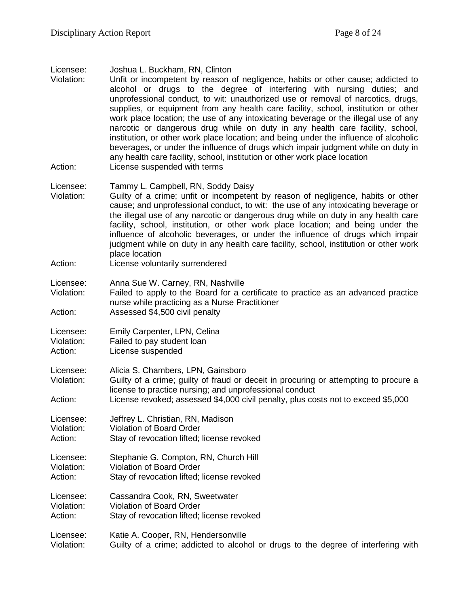Licensee: Joshua L. Buckham, RN, Clinton

Violation: Unfit or incompetent by reason of negligence, habits or other cause; addicted to alcohol or drugs to the degree of interfering with nursing duties; and unprofessional conduct, to wit: unauthorized use or removal of narcotics, drugs, supplies, or equipment from any health care facility, school, institution or other work place location; the use of any intoxicating beverage or the illegal use of any narcotic or dangerous drug while on duty in any health care facility, school, institution, or other work place location; and being under the influence of alcoholic beverages, or under the influence of drugs which impair judgment while on duty in any health care facility, school, institution or other work place location Action: License suspended with terms

Licensee: Tammy L. Campbell, RN, Soddy Daisy

Violation: Guilty of a crime; unfit or incompetent by reason of negligence, habits or other cause; and unprofessional conduct, to wit: the use of any intoxicating beverage or the illegal use of any narcotic or dangerous drug while on duty in any health care facility, school, institution, or other work place location; and being under the influence of alcoholic beverages, or under the influence of drugs which impair judgment while on duty in any health care facility, school, institution or other work place location

Action: License voluntarily surrendered

Licensee: Anna Sue W. Carney, RN, Nashville<br>Violation: Failed to apply to the Board for a c

Failed to apply to the Board for a certificate to practice as an advanced practice nurse while practicing as a Nurse Practitioner

Action: Assessed \$4,500 civil penalty

Licensee: Emily Carpenter, LPN, Celina

Violation: Failed to pay student loan

Action: License suspended

Licensee: Alicia S. Chambers, LPN, Gainsboro

Violation: Guilty of a crime; guilty of fraud or deceit in procuring or attempting to procure a license to practice nursing; and unprofessional conduct

Action: License revoked; assessed \$4,000 civil penalty, plus costs not to exceed \$5,000

Licensee: Jeffrey L. Christian, RN, Madison<br>Violation: Violation of Board Order Violation: Violation of Board Order Action: Stay of revocation lifted; license revoked

Licensee: Stephanie G. Compton, RN, Church Hill Violation: Violation of Board Order Action: Stay of revocation lifted; license revoked

Licensee: Cassandra Cook, RN, Sweetwater<br>Violation: Violation of Board Order Violation: Violation of Board Order<br>Action: Stav of revocation lifted: Stay of revocation lifted; license revoked

Licensee: Katie A. Cooper, RN, Hendersonville Violation: Guilty of a crime; addicted to alcohol or drugs to the degree of interfering with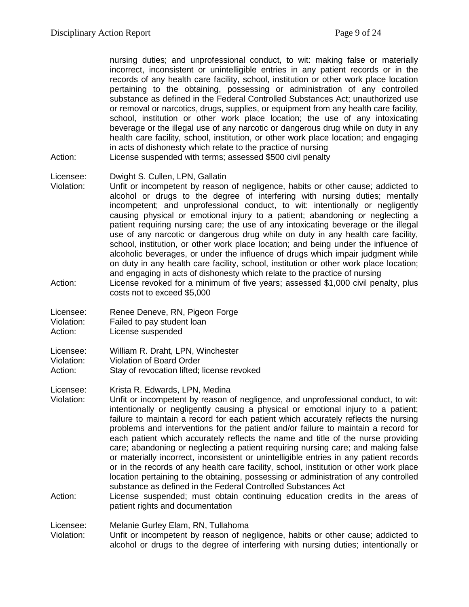nursing duties; and unprofessional conduct, to wit: making false or materially incorrect, inconsistent or unintelligible entries in any patient records or in the records of any health care facility, school, institution or other work place location pertaining to the obtaining, possessing or administration of any controlled substance as defined in the Federal Controlled Substances Act; unauthorized use or removal or narcotics, drugs, supplies, or equipment from any health care facility, school, institution or other work place location; the use of any intoxicating beverage or the illegal use of any narcotic or dangerous drug while on duty in any health care facility, school, institution, or other work place location; and engaging in acts of dishonesty which relate to the practice of nursing

Action: License suspended with terms; assessed \$500 civil penalty

#### Licensee: Dwight S. Cullen, LPN, Gallatin

- Violation: Unfit or incompetent by reason of negligence, habits or other cause; addicted to alcohol or drugs to the degree of interfering with nursing duties; mentally incompetent; and unprofessional conduct, to wit: intentionally or negligently causing physical or emotional injury to a patient; abandoning or neglecting a patient requiring nursing care; the use of any intoxicating beverage or the illegal use of any narcotic or dangerous drug while on duty in any health care facility, school, institution, or other work place location; and being under the influence of alcoholic beverages, or under the influence of drugs which impair judgment while on duty in any health care facility, school, institution or other work place location; and engaging in acts of dishonesty which relate to the practice of nursing
- Action: License revoked for a minimum of five years; assessed \$1,000 civil penalty, plus costs not to exceed \$5,000

Licensee: Renee Deneve, RN, Pigeon Forge Violation: Failed to pay student loan Action: License suspended

Licensee: William R. Draht, LPN, Winchester Violation: Violation of Board Order Action: Stay of revocation lifted; license revoked

Licensee: Krista R. Edwards, LPN, Medina

- Violation: Unfit or incompetent by reason of negligence, and unprofessional conduct, to wit: intentionally or negligently causing a physical or emotional injury to a patient; failure to maintain a record for each patient which accurately reflects the nursing problems and interventions for the patient and/or failure to maintain a record for each patient which accurately reflects the name and title of the nurse providing care; abandoning or neglecting a patient requiring nursing care; and making false or materially incorrect, inconsistent or unintelligible entries in any patient records or in the records of any health care facility, school, institution or other work place location pertaining to the obtaining, possessing or administration of any controlled substance as defined in the Federal Controlled Substances Act
- Action: License suspended; must obtain continuing education credits in the areas of patient rights and documentation

Licensee: Melanie Gurley Elam, RN, Tullahoma

Violation: Unfit or incompetent by reason of negligence, habits or other cause; addicted to alcohol or drugs to the degree of interfering with nursing duties; intentionally or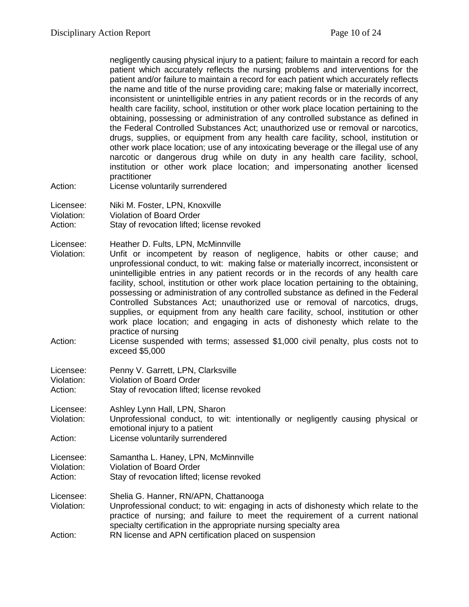| Action:                            | negligently causing physical injury to a patient; failure to maintain a record for each<br>patient which accurately reflects the nursing problems and interventions for the<br>patient and/or failure to maintain a record for each patient which accurately reflects<br>the name and title of the nurse providing care; making false or materially incorrect,<br>inconsistent or unintelligible entries in any patient records or in the records of any<br>health care facility, school, institution or other work place location pertaining to the<br>obtaining, possessing or administration of any controlled substance as defined in<br>the Federal Controlled Substances Act; unauthorized use or removal or narcotics,<br>drugs, supplies, or equipment from any health care facility, school, institution or<br>other work place location; use of any intoxicating beverage or the illegal use of any<br>narcotic or dangerous drug while on duty in any health care facility, school,<br>institution or other work place location; and impersonating another licensed<br>practitioner<br>License voluntarily surrendered |
|------------------------------------|-----------------------------------------------------------------------------------------------------------------------------------------------------------------------------------------------------------------------------------------------------------------------------------------------------------------------------------------------------------------------------------------------------------------------------------------------------------------------------------------------------------------------------------------------------------------------------------------------------------------------------------------------------------------------------------------------------------------------------------------------------------------------------------------------------------------------------------------------------------------------------------------------------------------------------------------------------------------------------------------------------------------------------------------------------------------------------------------------------------------------------------|
| Licensee:<br>Violation:<br>Action: | Niki M. Foster, LPN, Knoxville<br><b>Violation of Board Order</b><br>Stay of revocation lifted; license revoked                                                                                                                                                                                                                                                                                                                                                                                                                                                                                                                                                                                                                                                                                                                                                                                                                                                                                                                                                                                                                   |
| Licensee:<br>Violation:<br>Action: | Heather D. Fults, LPN, McMinnville<br>Unfit or incompetent by reason of negligence, habits or other cause; and<br>unprofessional conduct, to wit: making false or materially incorrect, inconsistent or<br>unintelligible entries in any patient records or in the records of any health care<br>facility, school, institution or other work place location pertaining to the obtaining,<br>possessing or administration of any controlled substance as defined in the Federal<br>Controlled Substances Act; unauthorized use or removal of narcotics, drugs,<br>supplies, or equipment from any health care facility, school, institution or other<br>work place location; and engaging in acts of dishonesty which relate to the<br>practice of nursing<br>License suspended with terms; assessed \$1,000 civil penalty, plus costs not to<br>exceed \$5,000                                                                                                                                                                                                                                                                    |
| Licensee:<br>Violation:<br>Action: | Penny V. Garrett, LPN, Clarksville<br><b>Violation of Board Order</b><br>Stay of revocation lifted; license revoked                                                                                                                                                                                                                                                                                                                                                                                                                                                                                                                                                                                                                                                                                                                                                                                                                                                                                                                                                                                                               |
| Licensee:<br>Violation:<br>Action: | Ashley Lynn Hall, LPN, Sharon<br>Unprofessional conduct, to wit: intentionally or negligently causing physical or<br>emotional injury to a patient<br>License voluntarily surrendered                                                                                                                                                                                                                                                                                                                                                                                                                                                                                                                                                                                                                                                                                                                                                                                                                                                                                                                                             |
| Licensee:<br>Violation:<br>Action: | Samantha L. Haney, LPN, McMinnville<br><b>Violation of Board Order</b><br>Stay of revocation lifted; license revoked                                                                                                                                                                                                                                                                                                                                                                                                                                                                                                                                                                                                                                                                                                                                                                                                                                                                                                                                                                                                              |
| Licensee:<br>Violation:<br>Action: | Shelia G. Hanner, RN/APN, Chattanooga<br>Unprofessional conduct; to wit: engaging in acts of dishonesty which relate to the<br>practice of nursing; and failure to meet the requirement of a current national<br>specialty certification in the appropriate nursing specialty area<br>RN license and APN certification placed on suspension                                                                                                                                                                                                                                                                                                                                                                                                                                                                                                                                                                                                                                                                                                                                                                                       |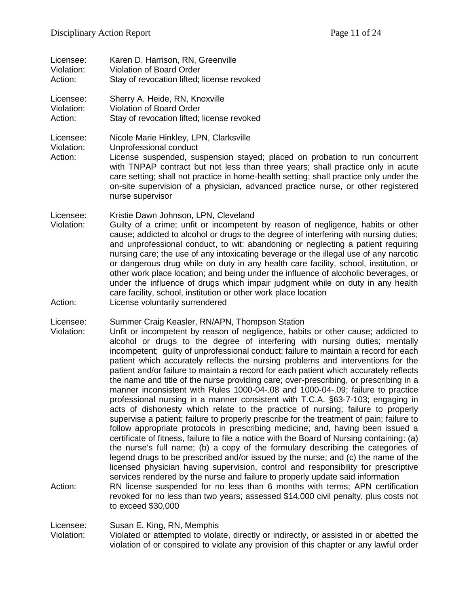| Licensee:                             | Karen D. Harrison, RN, Greenville                          |
|---------------------------------------|------------------------------------------------------------|
| Violation:                            | <b>Violation of Board Order</b>                            |
| Action:                               | Stay of revocation lifted; license revoked                 |
| Licensee:<br>$\overline{\phantom{a}}$ | Sherry A. Heide, RN, Knoxville<br>Violation of Doord Order |

Violation: Violation of Board Order Action: Stay of revocation lifted; license revoked

Licensee: Nicole Marie Hinkley, LPN, Clarksville<br>Violation: Unprofessional conduct

Violation: Unprofessional conduct<br>Action: License suspended. su

License suspended, suspension stayed; placed on probation to run concurrent with TNPAP contract but not less than three years; shall practice only in acute care setting; shall not practice in home-health setting; shall practice only under the on-site supervision of a physician, advanced practice nurse, or other registered nurse supervisor

Licensee: Kristie Dawn Johnson, LPN, Cleveland<br>Violation: Guilty of a crime: unfit or incompeten

- Guilty of a crime; unfit or incompetent by reason of negligence, habits or other cause; addicted to alcohol or drugs to the degree of interfering with nursing duties; and unprofessional conduct, to wit: abandoning or neglecting a patient requiring nursing care; the use of any intoxicating beverage or the illegal use of any narcotic or dangerous drug while on duty in any health care facility, school, institution, or other work place location; and being under the influence of alcoholic beverages, or under the influence of drugs which impair judgment while on duty in any health care facility, school, institution or other work place location Action: License voluntarily surrendered
- 

Licensee: Summer Craig Keasler, RN/APN, Thompson Station

- Violation: Unfit or incompetent by reason of negligence, habits or other cause; addicted to alcohol or drugs to the degree of interfering with nursing duties; mentally incompetent; guilty of unprofessional conduct; failure to maintain a record for each patient which accurately reflects the nursing problems and interventions for the patient and/or failure to maintain a record for each patient which accurately reflects the name and title of the nurse providing care; over-prescribing, or prescribing in a manner inconsistent with Rules 1000-04-.08 and 1000-04-.09; failure to practice professional nursing in a manner consistent with T.C.A. §63-7-103; engaging in acts of dishonesty which relate to the practice of nursing; failure to properly supervise a patient; failure to properly prescribe for the treatment of pain; failure to follow appropriate protocols in prescribing medicine; and, having been issued a certificate of fitness, failure to file a notice with the Board of Nursing containing: (a) the nurse's full name; (b) a copy of the formulary describing the categories of legend drugs to be prescribed and/or issued by the nurse; and (c) the name of the licensed physician having supervision, control and responsibility for prescriptive services rendered by the nurse and failure to properly update said information
- Action: RN license suspended for no less than 6 months with terms; APN certification revoked for no less than two years; assessed \$14,000 civil penalty, plus costs not to exceed \$30,000

Licensee: Susan E. King, RN, Memphis

Violation: Violated or attempted to violate, directly or indirectly, or assisted in or abetted the violation of or conspired to violate any provision of this chapter or any lawful order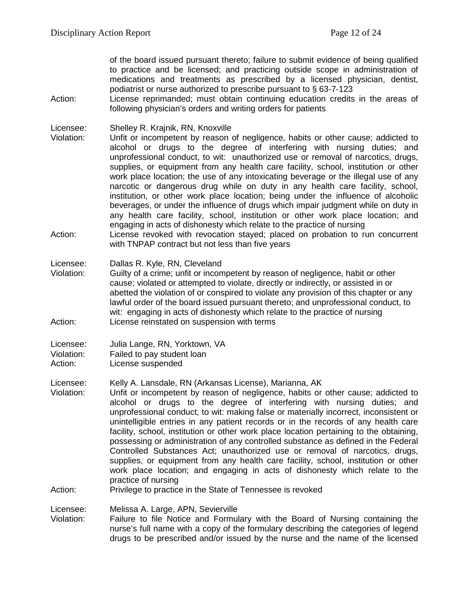of the board issued pursuant thereto; failure to submit evidence of being qualified to practice and be licensed; and practicing outside scope in administration of medications and treatments as prescribed by a licensed physician, dentist, podiatrist or nurse authorized to prescribe pursuant to § 63-7-123

Action: License reprimanded; must obtain continuing education credits in the areas of following physician's orders and writing orders for patients

Licensee: Shelley R. Krajnik, RN, Knoxville

- Unfit or incompetent by reason of negligence, habits or other cause; addicted to alcohol or drugs to the degree of interfering with nursing duties; and unprofessional conduct, to wit: unauthorized use or removal of narcotics, drugs, supplies, or equipment from any health care facility, school, institution or other work place location; the use of any intoxicating beverage or the illegal use of any narcotic or dangerous drug while on duty in any health care facility, school, institution, or other work place location; being under the influence of alcoholic beverages, or under the influence of drugs which impair judgment while on duty in any health care facility, school, institution or other work place location; and engaging in acts of dishonesty which relate to the practice of nursing
- Action: License revoked with revocation stayed; placed on probation to run concurrent with TNPAP contract but not less than five years

Licensee: Dallas R. Kyle, RN, Cleveland

Violation: Guilty of a crime; unfit or incompetent by reason of negligence, habit or other cause; violated or attempted to violate, directly or indirectly, or assisted in or abetted the violation of or conspired to violate any provision of this chapter or any lawful order of the board issued pursuant thereto; and unprofessional conduct, to wit: engaging in acts of dishonesty which relate to the practice of nursing Action: License reinstated on suspension with terms

Licensee: Kelly A. Lansdale, RN (Arkansas License), Marianna, AK<br>Violation: Unfit or incompetent by reason of negligence, habits or Unfit or incompetent by reason of negligence, habits or other cause; addicted to alcohol or drugs to the degree of interfering with nursing duties; and unprofessional conduct, to wit: making false or materially incorrect, inconsistent or unintelligible entries in any patient records or in the records of any health care facility, school, institution or other work place location pertaining to the obtaining, possessing or administration of any controlled substance as defined in the Federal Controlled Substances Act; unauthorized use or removal of narcotics, drugs, supplies, or equipment from any health care facility, school, institution or other work place location; and engaging in acts of dishonesty which relate to the practice of nursing

#### Action: Privilege to practice in the State of Tennessee is revoked

Licensee: Melissa A. Large, APN, Sevierville

Violation: Failure to file Notice and Formulary with the Board of Nursing containing the nurse's full name with a copy of the formulary describing the categories of legend drugs to be prescribed and/or issued by the nurse and the name of the licensed

Licensee: Julia Lange, RN, Yorktown, VA Violation: Failed to pay student loan Action: License suspended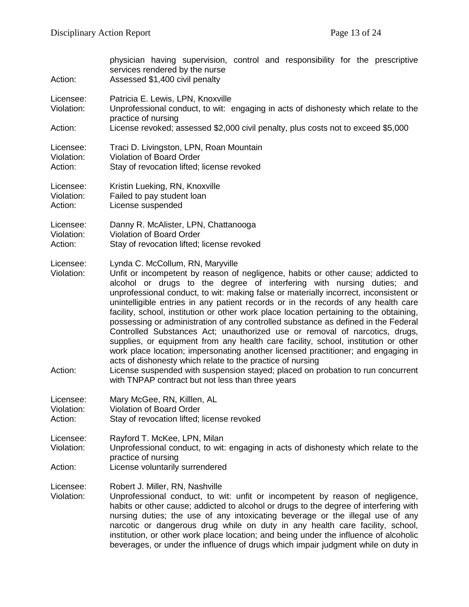| Action:                            | physician having supervision, control and responsibility for the prescriptive<br>services rendered by the nurse<br>Assessed \$1,400 civil penalty                                                                                                                                                                                                                                                                                                                                                                                                                                                                                                                                                                                                                                                                                                                                                                                                                                                                              |
|------------------------------------|--------------------------------------------------------------------------------------------------------------------------------------------------------------------------------------------------------------------------------------------------------------------------------------------------------------------------------------------------------------------------------------------------------------------------------------------------------------------------------------------------------------------------------------------------------------------------------------------------------------------------------------------------------------------------------------------------------------------------------------------------------------------------------------------------------------------------------------------------------------------------------------------------------------------------------------------------------------------------------------------------------------------------------|
| Licensee:<br>Violation:            | Patricia E. Lewis, LPN, Knoxville<br>Unprofessional conduct, to wit: engaging in acts of dishonesty which relate to the<br>practice of nursing                                                                                                                                                                                                                                                                                                                                                                                                                                                                                                                                                                                                                                                                                                                                                                                                                                                                                 |
| Action:                            | License revoked; assessed \$2,000 civil penalty, plus costs not to exceed \$5,000                                                                                                                                                                                                                                                                                                                                                                                                                                                                                                                                                                                                                                                                                                                                                                                                                                                                                                                                              |
| Licensee:<br>Violation:<br>Action: | Traci D. Livingston, LPN, Roan Mountain<br><b>Violation of Board Order</b><br>Stay of revocation lifted; license revoked                                                                                                                                                                                                                                                                                                                                                                                                                                                                                                                                                                                                                                                                                                                                                                                                                                                                                                       |
| Licensee:<br>Violation:<br>Action: | Kristin Lueking, RN, Knoxville<br>Failed to pay student loan<br>License suspended                                                                                                                                                                                                                                                                                                                                                                                                                                                                                                                                                                                                                                                                                                                                                                                                                                                                                                                                              |
| Licensee:<br>Violation:<br>Action: | Danny R. McAlister, LPN, Chattanooga<br>Violation of Board Order<br>Stay of revocation lifted; license revoked                                                                                                                                                                                                                                                                                                                                                                                                                                                                                                                                                                                                                                                                                                                                                                                                                                                                                                                 |
| Licensee:<br>Violation:<br>Action: | Lynda C. McCollum, RN, Maryville<br>Unfit or incompetent by reason of negligence, habits or other cause; addicted to<br>alcohol or drugs to the degree of interfering with nursing duties; and<br>unprofessional conduct, to wit: making false or materially incorrect, inconsistent or<br>unintelligible entries in any patient records or in the records of any health care<br>facility, school, institution or other work place location pertaining to the obtaining,<br>possessing or administration of any controlled substance as defined in the Federal<br>Controlled Substances Act; unauthorized use or removal of narcotics, drugs,<br>supplies, or equipment from any health care facility, school, institution or other<br>work place location; impersonating another licensed practitioner; and engaging in<br>acts of dishonesty which relate to the practice of nursing<br>License suspended with suspension stayed; placed on probation to run concurrent<br>with TNPAP contract but not less than three years |
| Licensee:<br>Violation:<br>Action: | Mary McGee, RN, Killlen, AL<br><b>Violation of Board Order</b><br>Stay of revocation lifted; license revoked                                                                                                                                                                                                                                                                                                                                                                                                                                                                                                                                                                                                                                                                                                                                                                                                                                                                                                                   |
| Licensee:<br>Violation:<br>Action: | Rayford T. McKee, LPN, Milan<br>Unprofessional conduct, to wit: engaging in acts of dishonesty which relate to the<br>practice of nursing<br>License voluntarily surrendered                                                                                                                                                                                                                                                                                                                                                                                                                                                                                                                                                                                                                                                                                                                                                                                                                                                   |
| Licensee:<br>Violation:            | Robert J. Miller, RN, Nashville<br>Unprofessional conduct, to wit: unfit or incompetent by reason of negligence,<br>habits or other cause; addicted to alcohol or drugs to the degree of interfering with<br>nursing duties; the use of any intoxicating beverage or the illegal use of any<br>narcotic or dangerous drug while on duty in any health care facility, school,<br>institution, or other work place location; and being under the influence of alcoholic<br>beverages, or under the influence of drugs which impair judgment while on duty in                                                                                                                                                                                                                                                                                                                                                                                                                                                                     |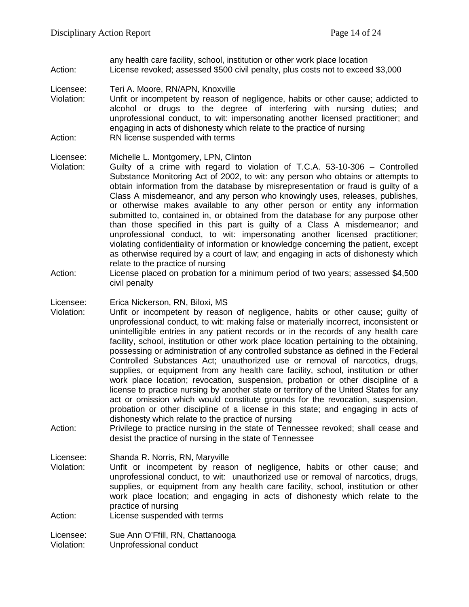any health care facility, school, institution or other work place location Action: License revoked; assessed \$500 civil penalty, plus costs not to exceed \$3,000

Licensee: Teri A. Moore, RN/APN, Knoxville

Violation: Unfit or incompetent by reason of negligence, habits or other cause; addicted to alcohol or drugs to the degree of interfering with nursing duties; and unprofessional conduct, to wit: impersonating another licensed practitioner; and engaging in acts of dishonesty which relate to the practice of nursing Action: RN license suspended with terms

Licensee: Michelle L. Montgomery, LPN, Clinton

- Violation: Guilty of a crime with regard to violation of T.C.A. 53-10-306 Controlled Substance Monitoring Act of 2002, to wit: any person who obtains or attempts to obtain information from the database by misrepresentation or fraud is guilty of a Class A misdemeanor, and any person who knowingly uses, releases, publishes, or otherwise makes available to any other person or entity any information submitted to, contained in, or obtained from the database for any purpose other than those specified in this part is guilty of a Class A misdemeanor; and unprofessional conduct, to wit: impersonating another licensed practitioner; violating confidentiality of information or knowledge concerning the patient, except as otherwise required by a court of law; and engaging in acts of dishonesty which relate to the practice of nursing
- Action: License placed on probation for a minimum period of two years; assessed \$4,500 civil penalty

Licensee: Erica Nickerson, RN, Biloxi, MS

- Violation: Unfit or incompetent by reason of negligence, habits or other cause; guilty of unprofessional conduct, to wit: making false or materially incorrect, inconsistent or unintelligible entries in any patient records or in the records of any health care facility, school, institution or other work place location pertaining to the obtaining, possessing or administration of any controlled substance as defined in the Federal Controlled Substances Act; unauthorized use or removal of narcotics, drugs, supplies, or equipment from any health care facility, school, institution or other work place location; revocation, suspension, probation or other discipline of a license to practice nursing by another state or territory of the United States for any act or omission which would constitute grounds for the revocation, suspension, probation or other discipline of a license in this state; and engaging in acts of dishonesty which relate to the practice of nursing
- Action: Privilege to practice nursing in the state of Tennessee revoked; shall cease and desist the practice of nursing in the state of Tennessee

Licensee: Shanda R. Norris, RN, Maryville

Violation: Unfit or incompetent by reason of negligence, habits or other cause; and unprofessional conduct, to wit: unauthorized use or removal of narcotics, drugs, supplies, or equipment from any health care facility, school, institution or other work place location; and engaging in acts of dishonesty which relate to the practice of nursing

Action: License suspended with terms

Licensee: Sue Ann O'Ffill, RN, Chattanooga Violation: Unprofessional conduct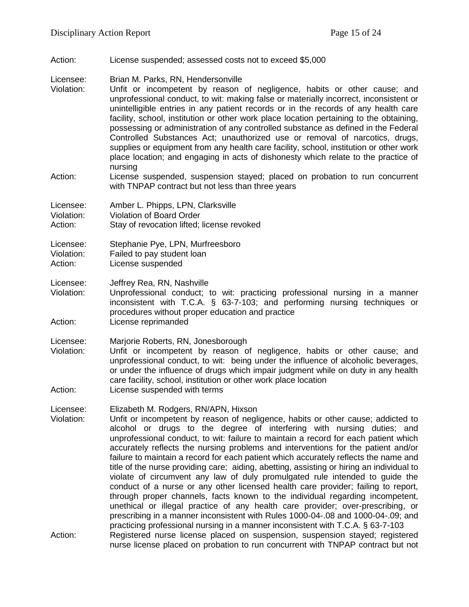Action: License suspended; assessed costs not to exceed \$5,000

Licensee: Brian M. Parks, RN, Hendersonville

- Violation: Unfit or incompetent by reason of negligence, habits or other cause; and unprofessional conduct, to wit: making false or materially incorrect, inconsistent or unintelligible entries in any patient records or in the records of any health care facility, school, institution or other work place location pertaining to the obtaining, possessing or administration of any controlled substance as defined in the Federal Controlled Substances Act; unauthorized use or removal of narcotics, drugs, supplies or equipment from any health care facility, school, institution or other work place location; and engaging in acts of dishonesty which relate to the practice of nursing
- Action: License suspended, suspension stayed; placed on probation to run concurrent with TNPAP contract but not less than three years

| Licensee:  | Amber L. Phipps, LPN, Clarksville          |
|------------|--------------------------------------------|
| Violation: | Violation of Board Order                   |
| Action:    | Stay of revocation lifted; license revoked |

Licensee: Stephanie Pye, LPN, Murfreesboro

Violation: Failed to pay student loan

Action: License suspended

Licensee: Jeffrey Rea, RN, Nashville<br>Violation: Unprofessional conduct: t

Unprofessional conduct; to wit: practicing professional nursing in a manner inconsistent with T.C.A. § 63-7-103; and performing nursing techniques or procedures without proper education and practice

Action: License reprimanded

Licensee: Marjorie Roberts, RN, Jonesborough

Violation: Unfit or incompetent by reason of negligence, habits or other cause; and unprofessional conduct, to wit: being under the influence of alcoholic beverages, or under the influence of drugs which impair judgment while on duty in any health care facility, school, institution or other work place location

Action: License suspended with terms

Licensee: Elizabeth M. Rodgers, RN/APN, Hixson

Violation: Unfit or incompetent by reason of negligence, habits or other cause; addicted to alcohol or drugs to the degree of interfering with nursing duties; and unprofessional conduct, to wit: failure to maintain a record for each patient which accurately reflects the nursing problems and interventions for the patient and/or failure to maintain a record for each patient which accurately reflects the name and title of the nurse providing care; aiding, abetting, assisting or hiring an individual to violate of circumvent any law of duly promulgated rule intended to guide the conduct of a nurse or any other licensed health care provider; failing to report, through proper channels, facts known to the individual regarding incompetent, unethical or illegal practice of any health care provider; over-prescribing, or prescribing in a manner inconsistent with Rules 1000-04-.08 and 1000-04-.09; and practicing professional nursing in a manner inconsistent with T.C.A. § 63-7-103 Action: Registered nurse license placed on suspension, suspension stayed; registered nurse license placed on probation to run concurrent with TNPAP contract but not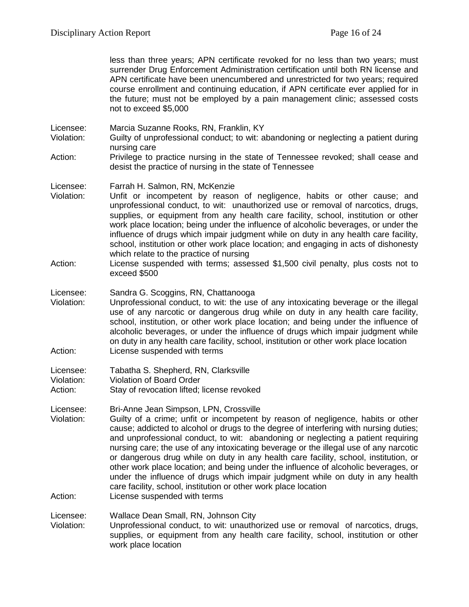less than three years; APN certificate revoked for no less than two years; must surrender Drug Enforcement Administration certification until both RN license and APN certificate have been unencumbered and unrestricted for two years; required course enrollment and continuing education, if APN certificate ever applied for in the future; must not be employed by a pain management clinic; assessed costs not to exceed \$5,000

Licensee: Marcia Suzanne Rooks, RN, Franklin, KY<br>Violation: Guilty of unprofessional conduct: to wit: a Guilty of unprofessional conduct; to wit: abandoning or neglecting a patient during nursing care

Action: Privilege to practice nursing in the state of Tennessee revoked; shall cease and desist the practice of nursing in the state of Tennessee

Licensee: Farrah H. Salmon, RN, McKenzie

- Violation: Unfit or incompetent by reason of negligence, habits or other cause; and unprofessional conduct, to wit: unauthorized use or removal of narcotics, drugs, supplies, or equipment from any health care facility, school, institution or other work place location; being under the influence of alcoholic beverages, or under the influence of drugs which impair judgment while on duty in any health care facility, school, institution or other work place location; and engaging in acts of dishonesty which relate to the practice of nursing
- Action: License suspended with terms; assessed \$1,500 civil penalty, plus costs not to exceed \$500

#### Licensee: Sandra G. Scoggins, RN, Chattanooga

Violation: Unprofessional conduct, to wit: the use of any intoxicating beverage or the illegal use of any narcotic or dangerous drug while on duty in any health care facility, school, institution, or other work place location; and being under the influence of alcoholic beverages, or under the influence of drugs which impair judgment while on duty in any health care facility, school, institution or other work place location Action: License suspended with terms

| Licensee:  | Tabatha S. Shepherd, RN, Clarksville       |
|------------|--------------------------------------------|
| Violation: | Violation of Board Order                   |
| Action:    | Stay of revocation lifted; license revoked |

Licensee: Bri-Anne Jean Simpson, LPN, Crossville

Violation: Guilty of a crime; unfit or incompetent by reason of negligence, habits or other cause; addicted to alcohol or drugs to the degree of interfering with nursing duties; and unprofessional conduct, to wit: abandoning or neglecting a patient requiring nursing care; the use of any intoxicating beverage or the illegal use of any narcotic or dangerous drug while on duty in any health care facility, school, institution, or other work place location; and being under the influence of alcoholic beverages, or under the influence of drugs which impair judgment while on duty in any health care facility, school, institution or other work place location

Action: License suspended with terms

Licensee: Wallace Dean Small, RN, Johnson City

Violation: Unprofessional conduct, to wit: unauthorized use or removal of narcotics, drugs, supplies, or equipment from any health care facility, school, institution or other work place location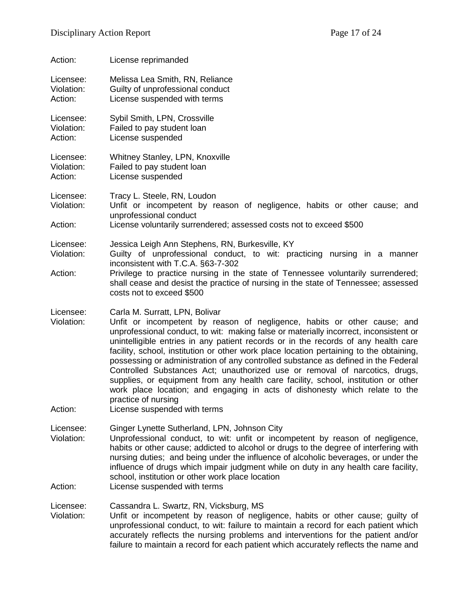| Action:                            | License reprimanded                                                                                                                                                                                                                                                                                                                                                                                                                                                                                                                                                                                                                                                                                                                                   |
|------------------------------------|-------------------------------------------------------------------------------------------------------------------------------------------------------------------------------------------------------------------------------------------------------------------------------------------------------------------------------------------------------------------------------------------------------------------------------------------------------------------------------------------------------------------------------------------------------------------------------------------------------------------------------------------------------------------------------------------------------------------------------------------------------|
| Licensee:<br>Violation:<br>Action: | Melissa Lea Smith, RN, Reliance<br>Guilty of unprofessional conduct<br>License suspended with terms                                                                                                                                                                                                                                                                                                                                                                                                                                                                                                                                                                                                                                                   |
| Licensee:<br>Violation:<br>Action: | Sybil Smith, LPN, Crossville<br>Failed to pay student loan<br>License suspended                                                                                                                                                                                                                                                                                                                                                                                                                                                                                                                                                                                                                                                                       |
| Licensee:<br>Violation:<br>Action: | Whitney Stanley, LPN, Knoxville<br>Failed to pay student loan<br>License suspended                                                                                                                                                                                                                                                                                                                                                                                                                                                                                                                                                                                                                                                                    |
| Licensee:<br>Violation:            | Tracy L. Steele, RN, Loudon<br>Unfit or incompetent by reason of negligence, habits or other cause; and<br>unprofessional conduct                                                                                                                                                                                                                                                                                                                                                                                                                                                                                                                                                                                                                     |
| Action:                            | License voluntarily surrendered; assessed costs not to exceed \$500                                                                                                                                                                                                                                                                                                                                                                                                                                                                                                                                                                                                                                                                                   |
| Licensee:<br>Violation:            | Jessica Leigh Ann Stephens, RN, Burkesville, KY<br>Guilty of unprofessional conduct, to wit: practicing nursing in a manner<br>inconsistent with T.C.A. §63-7-302                                                                                                                                                                                                                                                                                                                                                                                                                                                                                                                                                                                     |
| Action:                            | Privilege to practice nursing in the state of Tennessee voluntarily surrendered;<br>shall cease and desist the practice of nursing in the state of Tennessee; assessed<br>costs not to exceed \$500                                                                                                                                                                                                                                                                                                                                                                                                                                                                                                                                                   |
| Licensee:<br>Violation:            | Carla M. Surratt, LPN, Bolivar<br>Unfit or incompetent by reason of negligence, habits or other cause; and<br>unprofessional conduct, to wit: making false or materially incorrect, inconsistent or<br>unintelligible entries in any patient records or in the records of any health care<br>facility, school, institution or other work place location pertaining to the obtaining,<br>possessing or administration of any controlled substance as defined in the Federal<br>Controlled Substances Act; unauthorized use or removal of narcotics, drugs,<br>supplies, or equipment from any health care facility, school, institution or other<br>work place location; and engaging in acts of dishonesty which relate to the<br>practice of nursing |
| Action:                            | License suspended with terms                                                                                                                                                                                                                                                                                                                                                                                                                                                                                                                                                                                                                                                                                                                          |
| Licensee:<br>Violation:            | Ginger Lynette Sutherland, LPN, Johnson City<br>Unprofessional conduct, to wit: unfit or incompetent by reason of negligence,<br>habits or other cause; addicted to alcohol or drugs to the degree of interfering with<br>nursing duties; and being under the influence of alcoholic beverages, or under the<br>influence of drugs which impair judgment while on duty in any health care facility,<br>school, institution or other work place location                                                                                                                                                                                                                                                                                               |
| Action:                            | License suspended with terms                                                                                                                                                                                                                                                                                                                                                                                                                                                                                                                                                                                                                                                                                                                          |
| Licensee:<br>Violation:            | Cassandra L. Swartz, RN, Vicksburg, MS<br>Unfit or incompetent by reason of negligence, habits or other cause; guilty of<br>unprofessional conduct, to wit: failure to maintain a record for each patient which<br>accurately reflects the nursing problems and interventions for the patient and/or<br>failure to maintain a record for each patient which accurately reflects the name and                                                                                                                                                                                                                                                                                                                                                          |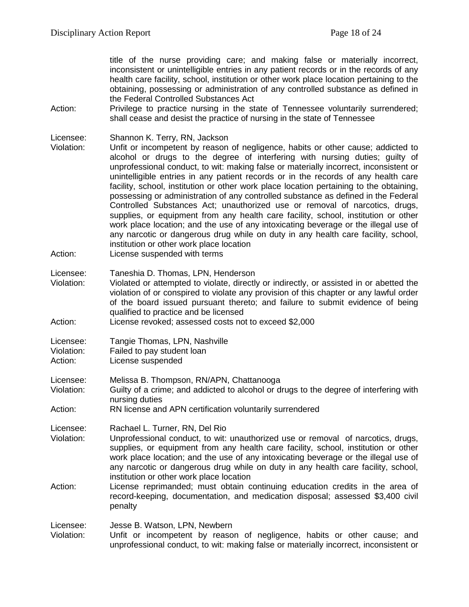title of the nurse providing care; and making false or materially incorrect, inconsistent or unintelligible entries in any patient records or in the records of any health care facility, school, institution or other work place location pertaining to the obtaining, possessing or administration of any controlled substance as defined in the Federal Controlled Substances Act

Action: Privilege to practice nursing in the state of Tennessee voluntarily surrendered; shall cease and desist the practice of nursing in the state of Tennessee

Licensee: Shannon K. Terry, RN, Jackson<br>Violation: Unfit or incompetent by reason

Unfit or incompetent by reason of negligence, habits or other cause; addicted to alcohol or drugs to the degree of interfering with nursing duties; guilty of unprofessional conduct, to wit: making false or materially incorrect, inconsistent or unintelligible entries in any patient records or in the records of any health care facility, school, institution or other work place location pertaining to the obtaining, possessing or administration of any controlled substance as defined in the Federal Controlled Substances Act; unauthorized use or removal of narcotics, drugs, supplies, or equipment from any health care facility, school, institution or other work place location; and the use of any intoxicating beverage or the illegal use of any narcotic or dangerous drug while on duty in any health care facility, school, institution or other work place location

Action: License suspended with terms

Licensee: Taneshia D. Thomas, LPN, Henderson<br>Violation: Violated or attempted to violate. directly

Violated or attempted to violate, directly or indirectly, or assisted in or abetted the violation of or conspired to violate any provision of this chapter or any lawful order of the board issued pursuant thereto; and failure to submit evidence of being qualified to practice and be licensed

| Action: | License revoked; assessed costs not to exceed \$2,000 |
|---------|-------------------------------------------------------|
|---------|-------------------------------------------------------|

| Licensee:  | Tangie Thomas, LPN, Nashville |
|------------|-------------------------------|
| Violation: | Failed to pay student loan    |
| Action:    | License suspended             |

Licensee: Melissa B. Thompson, RN/APN, Chattanooga

Violation: Guilty of a crime; and addicted to alcohol or drugs to the degree of interfering with nursing duties

Action: RN license and APN certification voluntarily surrendered

Licensee: Rachael L. Turner, RN, Del Rio

Violation: Unprofessional conduct, to wit: unauthorized use or removal of narcotics, drugs, supplies, or equipment from any health care facility, school, institution or other work place location; and the use of any intoxicating beverage or the illegal use of any narcotic or dangerous drug while on duty in any health care facility, school, institution or other work place location

Action: License reprimanded; must obtain continuing education credits in the area of record-keeping, documentation, and medication disposal; assessed \$3,400 civil penalty

Licensee: Jesse B. Watson, LPN, Newbern

Violation: Unfit or incompetent by reason of negligence, habits or other cause; and unprofessional conduct, to wit: making false or materially incorrect, inconsistent or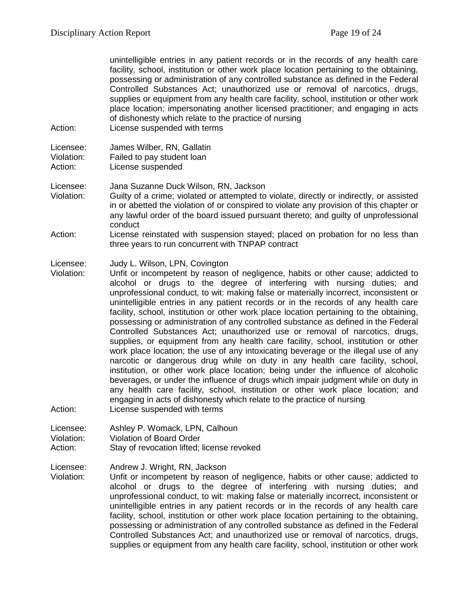unintelligible entries in any patient records or in the records of any health care facility, school, institution or other work place location pertaining to the obtaining, possessing or administration of any controlled substance as defined in the Federal Controlled Substances Act; unauthorized use or removal of narcotics, drugs, supplies or equipment from any health care facility, school, institution or other work place location; impersonating another licensed practitioner; and engaging in acts of dishonesty which relate to the practice of nursing

Action: License suspended with terms

Licensee: James Wilber, RN, Gallatin<br>Violation: Failed to pay student loan Failed to pay student loan Action: License suspended

- Licensee: Jana Suzanne Duck Wilson, RN, Jackson Violation: Guilty of a crime; violated or attempted to violate, directly or indirectly, or assisted in or abetted the violation of or conspired to violate any provision of this chapter or any lawful order of the board issued pursuant thereto; and guilty of unprofessional conduct
- Action: License reinstated with suspension stayed; placed on probation for no less than three years to run concurrent with TNPAP contract

#### Licensee: Judy L. Wilson, LPN, Covington

- Violation: Unfit or incompetent by reason of negligence, habits or other cause; addicted to alcohol or drugs to the degree of interfering with nursing duties; and unprofessional conduct, to wit: making false or materially incorrect, inconsistent or unintelligible entries in any patient records or in the records of any health care facility, school, institution or other work place location pertaining to the obtaining, possessing or administration of any controlled substance as defined in the Federal Controlled Substances Act; unauthorized use or removal of narcotics, drugs, supplies, or equipment from any health care facility, school, institution or other work place location; the use of any intoxicating beverage or the illegal use of any narcotic or dangerous drug while on duty in any health care facility, school, institution, or other work place location; being under the influence of alcoholic beverages, or under the influence of drugs which impair judgment while on duty in any health care facility, school, institution or other work place location; and engaging in acts of dishonesty which relate to the practice of nursing Action: License suspended with terms
- Licensee: Ashley P. Womack, LPN, Calhoun Violation: Violation of Board Order Action: Stay of revocation lifted; license revoked

Licensee: Andrew J. Wright, RN, Jackson

Violation: Unfit or incompetent by reason of negligence, habits or other cause; addicted to alcohol or drugs to the degree of interfering with nursing duties; and unprofessional conduct, to wit: making false or materially incorrect, inconsistent or unintelligible entries in any patient records or in the records of any health care facility, school, institution or other work place location pertaining to the obtaining, possessing or administration of any controlled substance as defined in the Federal Controlled Substances Act; and unauthorized use or removal of narcotics, drugs, supplies or equipment from any health care facility, school, institution or other work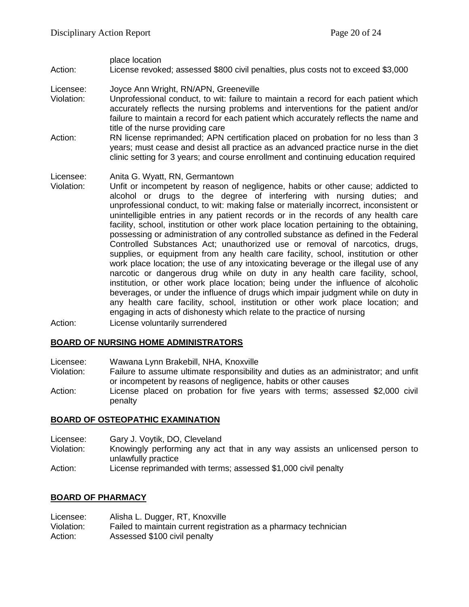place location Action: License revoked; assessed \$800 civil penalties, plus costs not to exceed \$3,000

- Licensee: Joyce Ann Wright, RN/APN, Greeneville
- Violation: Unprofessional conduct, to wit: failure to maintain a record for each patient which accurately reflects the nursing problems and interventions for the patient and/or failure to maintain a record for each patient which accurately reflects the name and title of the nurse providing care
- Action: RN license reprimanded; APN certification placed on probation for no less than 3 years; must cease and desist all practice as an advanced practice nurse in the diet clinic setting for 3 years; and course enrollment and continuing education required
- Licensee: Anita G. Wyatt, RN, Germantown<br>Violation: Unfit or incompetent by reason o
- Unfit or incompetent by reason of negligence, habits or other cause; addicted to alcohol or drugs to the degree of interfering with nursing duties; and unprofessional conduct, to wit: making false or materially incorrect, inconsistent or unintelligible entries in any patient records or in the records of any health care facility, school, institution or other work place location pertaining to the obtaining, possessing or administration of any controlled substance as defined in the Federal Controlled Substances Act; unauthorized use or removal of narcotics, drugs, supplies, or equipment from any health care facility, school, institution or other work place location; the use of any intoxicating beverage or the illegal use of any narcotic or dangerous drug while on duty in any health care facility, school, institution, or other work place location; being under the influence of alcoholic beverages, or under the influence of drugs which impair judgment while on duty in any health care facility, school, institution or other work place location; and engaging in acts of dishonesty which relate to the practice of nursing
- Action: License voluntarily surrendered

#### **BOARD OF NURSING HOME ADMINISTRATORS**

- Licensee: Wawana Lynn Brakebill, NHA, Knoxville
- Failure to assume ultimate responsibility and duties as an administrator; and unfit or incompetent by reasons of negligence, habits or other causes
- Action: License placed on probation for five years with terms; assessed \$2,000 civil penalty

#### **BOARD OF OSTEOPATHIC EXAMINATION**

- Licensee: Gary J. Voytik, DO, Cleveland
- Knowingly performing any act that in any way assists an unlicensed person to unlawfully practice
- Action: License reprimanded with terms; assessed \$1,000 civil penalty

# **BOARD OF PHARMACY**

| Licensee:  | Alisha L. Dugger, RT, Knoxville                                  |
|------------|------------------------------------------------------------------|
| Violation: | Failed to maintain current registration as a pharmacy technician |
| Action:    | Assessed \$100 civil penalty                                     |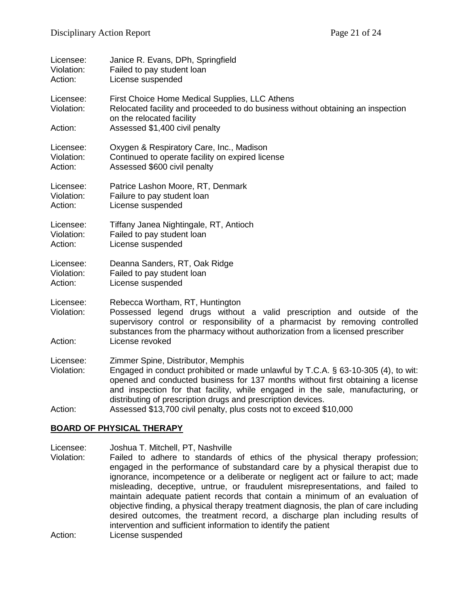| Licensee:<br>Violation:<br>Action: | Janice R. Evans, DPh, Springfield<br>Failed to pay student loan<br>License suspended                                                                                                                                                                                                                                                                        |
|------------------------------------|-------------------------------------------------------------------------------------------------------------------------------------------------------------------------------------------------------------------------------------------------------------------------------------------------------------------------------------------------------------|
| Licensee:<br>Violation:            | First Choice Home Medical Supplies, LLC Athens<br>Relocated facility and proceeded to do business without obtaining an inspection<br>on the relocated facility                                                                                                                                                                                              |
| Action:                            | Assessed \$1,400 civil penalty                                                                                                                                                                                                                                                                                                                              |
| Licensee:<br>Violation:<br>Action: | Oxygen & Respiratory Care, Inc., Madison<br>Continued to operate facility on expired license<br>Assessed \$600 civil penalty                                                                                                                                                                                                                                |
| Licensee:<br>Violation:<br>Action: | Patrice Lashon Moore, RT, Denmark<br>Failure to pay student loan<br>License suspended                                                                                                                                                                                                                                                                       |
| Licensee:<br>Violation:<br>Action: | Tiffany Janea Nightingale, RT, Antioch<br>Failed to pay student loan<br>License suspended                                                                                                                                                                                                                                                                   |
| Licensee:<br>Violation:<br>Action: | Deanna Sanders, RT, Oak Ridge<br>Failed to pay student loan<br>License suspended                                                                                                                                                                                                                                                                            |
| Licensee:<br>Violation:            | Rebecca Wortham, RT, Huntington<br>Possessed legend drugs without a valid prescription and outside of the<br>supervisory control or responsibility of a pharmacist by removing controlled<br>substances from the pharmacy without authorization from a licensed prescriber                                                                                  |
| Action:                            | License revoked                                                                                                                                                                                                                                                                                                                                             |
| Licensee:<br>Violation:            | Zimmer Spine, Distributor, Memphis<br>Engaged in conduct prohibited or made unlawful by T.C.A. § 63-10-305 (4), to wit:<br>opened and conducted business for 137 months without first obtaining a license<br>and inspection for that facility, while engaged in the sale, manufacturing, or<br>distributing of prescription drugs and prescription devices. |
| Action:                            | Assessed \$13,700 civil penalty, plus costs not to exceed \$10,000                                                                                                                                                                                                                                                                                          |

#### **BOARD OF PHYSICAL THERAPY**

Licensee: Joshua T. Mitchell, PT, Nashville<br>Violation: Failed to adhere to standards

Failed to adhere to standards of ethics of the physical therapy profession; engaged in the performance of substandard care by a physical therapist due to ignorance, incompetence or a deliberate or negligent act or failure to act; made misleading, deceptive, untrue, or fraudulent misrepresentations, and failed to maintain adequate patient records that contain a minimum of an evaluation of objective finding, a physical therapy treatment diagnosis, the plan of care including desired outcomes, the treatment record, a discharge plan including results of intervention and sufficient information to identify the patient

Action: License suspended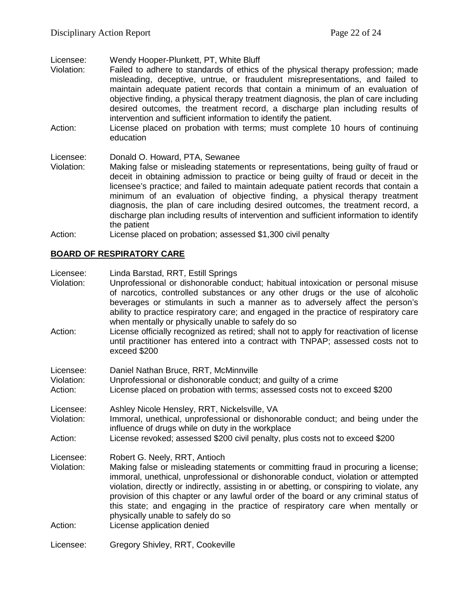Licensee: Wendy Hooper-Plunkett, PT, White Bluff<br>Violation: Failed to adhere to standards of ethics

- Failed to adhere to standards of ethics of the physical therapy profession; made misleading, deceptive, untrue, or fraudulent misrepresentations, and failed to maintain adequate patient records that contain a minimum of an evaluation of objective finding, a physical therapy treatment diagnosis, the plan of care including desired outcomes, the treatment record, a discharge plan including results of intervention and sufficient information to identify the patient.
- Action: License placed on probation with terms; must complete 10 hours of continuing education

#### Licensee: Donald O. Howard, PTA, Sewanee

- Violation: Making false or misleading statements or representations, being guilty of fraud or deceit in obtaining admission to practice or being guilty of fraud or deceit in the licensee's practice; and failed to maintain adequate patient records that contain a minimum of an evaluation of objective finding, a physical therapy treatment diagnosis, the plan of care including desired outcomes, the treatment record, a discharge plan including results of intervention and sufficient information to identify the patient
- Action: License placed on probation; assessed \$1,300 civil penalty

## **BOARD OF RESPIRATORY CARE**

| Licensee:<br>Violation:            | Linda Barstad, RRT, Estill Springs<br>Unprofessional or dishonorable conduct; habitual intoxication or personal misuse<br>of narcotics, controlled substances or any other drugs or the use of alcoholic<br>beverages or stimulants in such a manner as to adversely affect the person's                                                                                                                                                                                                                                                           |
|------------------------------------|----------------------------------------------------------------------------------------------------------------------------------------------------------------------------------------------------------------------------------------------------------------------------------------------------------------------------------------------------------------------------------------------------------------------------------------------------------------------------------------------------------------------------------------------------|
| Action:                            | ability to practice respiratory care; and engaged in the practice of respiratory care<br>when mentally or physically unable to safely do so<br>License officially recognized as retired; shall not to apply for reactivation of license<br>until practitioner has entered into a contract with TNPAP; assessed costs not to<br>exceed \$200                                                                                                                                                                                                        |
| Licensee:<br>Violation:<br>Action: | Daniel Nathan Bruce, RRT, McMinnville<br>Unprofessional or dishonorable conduct; and guilty of a crime<br>License placed on probation with terms; assessed costs not to exceed \$200                                                                                                                                                                                                                                                                                                                                                               |
| Licensee:<br>Violation:<br>Action: | Ashley Nicole Hensley, RRT, Nickelsville, VA<br>Immoral, unethical, unprofessional or dishonorable conduct; and being under the<br>influence of drugs while on duty in the workplace<br>License revoked; assessed \$200 civil penalty, plus costs not to exceed \$200                                                                                                                                                                                                                                                                              |
| Licensee:<br>Violation:<br>Action: | Robert G. Neely, RRT, Antioch<br>Making false or misleading statements or committing fraud in procuring a license;<br>immoral, unethical, unprofessional or dishonorable conduct, violation or attempted<br>violation, directly or indirectly, assisting in or abetting, or conspiring to violate, any<br>provision of this chapter or any lawful order of the board or any criminal status of<br>this state; and engaging in the practice of respiratory care when mentally or<br>physically unable to safely do so<br>License application denied |
| Licensee:                          | Gregory Shivley, RRT, Cookeville                                                                                                                                                                                                                                                                                                                                                                                                                                                                                                                   |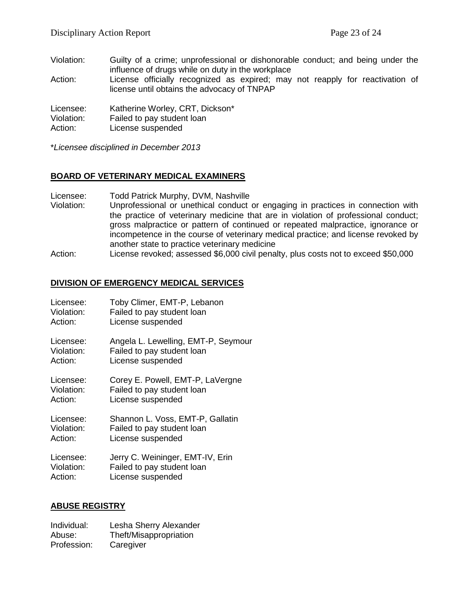- Violation: Guilty of a crime; unprofessional or dishonorable conduct; and being under the influence of drugs while on duty in the workplace
- Action: License officially recognized as expired; may not reapply for reactivation of license until obtains the advocacy of TNPAP

Licensee: Katherine Worley, CRT, Dickson\*

Violation: Failed to pay student loan

Action: License suspended

\**Licensee disciplined in December 2013*

## **BOARD OF VETERINARY MEDICAL EXAMINERS**

- Licensee: Todd Patrick Murphy, DVM, Nashville
- Violation: Unprofessional or unethical conduct or engaging in practices in connection with the practice of veterinary medicine that are in violation of professional conduct; gross malpractice or pattern of continued or repeated malpractice, ignorance or incompetence in the course of veterinary medical practice; and license revoked by another state to practice veterinary medicine
- Action: License revoked; assessed \$6,000 civil penalty, plus costs not to exceed \$50,000

## **DIVISION OF EMERGENCY MEDICAL SERVICES**

| Licensee:  | Toby Climer, EMT-P, Lebanon         |
|------------|-------------------------------------|
| Violation: | Failed to pay student loan          |
| Action:    | License suspended                   |
| Licensee:  | Angela L. Lewelling, EMT-P, Seymour |
| Violation: | Failed to pay student loan          |
| Action:    | License suspended                   |
| Licensee:  | Corey E. Powell, EMT-P, LaVergne    |
| Violation: | Failed to pay student loan          |
| Action:    | License suspended                   |
| Licensee:  | Shannon L. Voss, EMT-P, Gallatin    |
| Violation: | Failed to pay student loan          |
| Action:    | License suspended                   |
| Licensee:  | Jerry C. Weininger, EMT-IV, Erin    |
| Violation: | Failed to pay student loan          |
| Action:    | License suspended                   |

# **ABUSE REGISTRY**

| Individual: | Lesha Sherry Alexander |
|-------------|------------------------|
| Abuse:      | Theft/Misappropriation |
| Profession: | Caregiver              |